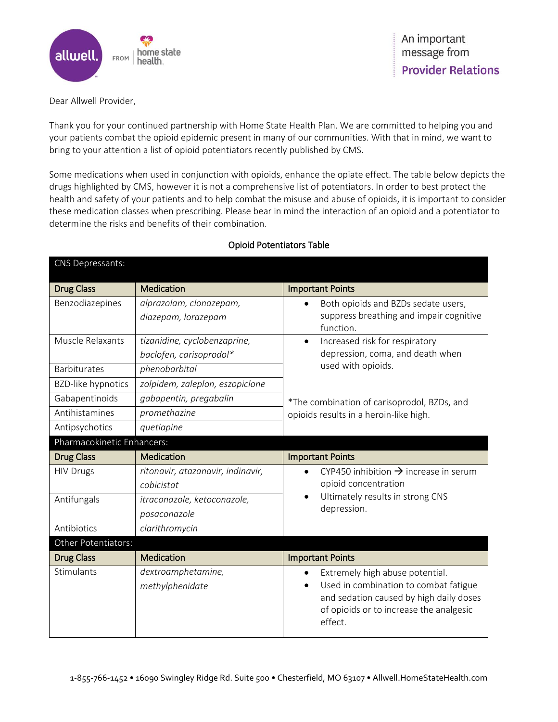

Dear Allwell Provider,

Thank you for your continued partnership with Home State Health Plan. We are committed to helping you and your patients combat the opioid epidemic present in many of our communities. With that in mind, we want to bring to your attention a list of opioid potentiators recently published by CMS.

Some medications when used in conjunction with opioids, enhance the opiate effect. The table below depicts the drugs highlighted by CMS, however it is not a comprehensive list of potentiators. In order to best protect the health and safety of your patients and to help combat the misuse and abuse of opioids, it is important to consider these medication classes when prescribing. Please bear in mind the interaction of an opioid and a potentiator to determine the risks and benefits of their combination.

| CNS Depressants:           |                                   |                                                                                                                                                                                                |
|----------------------------|-----------------------------------|------------------------------------------------------------------------------------------------------------------------------------------------------------------------------------------------|
| <b>Drug Class</b>          | Medication                        | <b>Important Points</b>                                                                                                                                                                        |
| Benzodiazepines            | alprazolam, clonazepam,           | Both opioids and BZDs sedate users,                                                                                                                                                            |
|                            | diazepam, lorazepam               | suppress breathing and impair cognitive<br>function.                                                                                                                                           |
| Muscle Relaxants           | tizanidine, cyclobenzaprine,      | Increased risk for respiratory<br>$\bullet$<br>depression, coma, and death when<br>used with opioids.<br>*The combination of carisoprodol, BZDs, and<br>opioids results in a heroin-like high. |
|                            | baclofen, carisoprodol*           |                                                                                                                                                                                                |
| Barbiturates               | phenobarbital                     |                                                                                                                                                                                                |
| <b>BZD-like hypnotics</b>  | zolpidem, zaleplon, eszopiclone   |                                                                                                                                                                                                |
| Gabapentinoids             | gabapentin, pregabalin            |                                                                                                                                                                                                |
| Antihistamines             | promethazine                      |                                                                                                                                                                                                |
| Antipsychotics             | quetiapine                        |                                                                                                                                                                                                |
| Pharmacokinetic Enhancers: |                                   |                                                                                                                                                                                                |
|                            |                                   |                                                                                                                                                                                                |
| <b>Drug Class</b>          | Medication                        | <b>Important Points</b>                                                                                                                                                                        |
| <b>HIV Drugs</b>           | ritonavir, atazanavir, indinavir, | CYP450 inhibition $\rightarrow$ increase in serum                                                                                                                                              |
|                            | cobicistat                        | opioid concentration                                                                                                                                                                           |
| Antifungals                | itraconazole, ketoconazole,       | Ultimately results in strong CNS                                                                                                                                                               |
|                            | posaconazole                      | depression.                                                                                                                                                                                    |
| Antibiotics                | clarithromycin                    |                                                                                                                                                                                                |
| Other Potentiators:        |                                   |                                                                                                                                                                                                |
| <b>Drug Class</b>          | <b>Medication</b>                 | <b>Important Points</b>                                                                                                                                                                        |
| Stimulants                 | dextroamphetamine,                | Extremely high abuse potential.                                                                                                                                                                |
|                            | methylphenidate                   | Used in combination to combat fatigue                                                                                                                                                          |
|                            |                                   | and sedation caused by high daily doses<br>of opioids or to increase the analgesic                                                                                                             |

## Opioid Potentiators Table